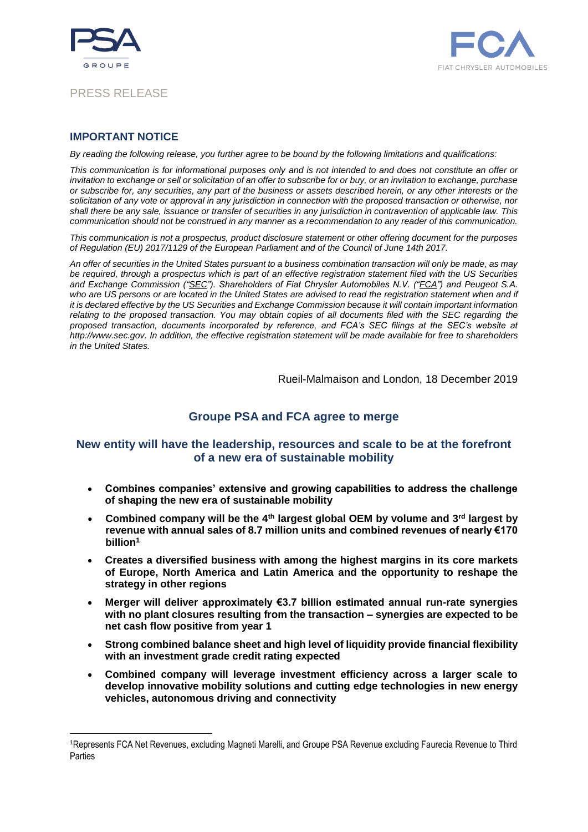

-

# PRESS RELEASE



## **IMPORTANT NOTICE**

*By reading the following release, you further agree to be bound by the following limitations and qualifications:*

*This communication is for informational purposes only and is not intended to and does not constitute an offer or invitation to exchange or sell or solicitation of an offer to subscribe for or buy, or an invitation to exchange, purchase or subscribe for, any securities, any part of the business or assets described herein, or any other interests or the solicitation of any vote or approval in any jurisdiction in connection with the proposed transaction or otherwise, nor shall there be any sale, issuance or transfer of securities in any jurisdiction in contravention of applicable law. This communication should not be construed in any manner as a recommendation to any reader of this communication.*

*This communication is not a prospectus, product disclosure statement or other offering document for the purposes of Regulation (EU) 2017/1129 of the European Parliament and of the Council of June 14th 2017.*

*An offer of securities in the United States pursuant to a business combination transaction will only be made, as may be required, through a prospectus which is part of an effective registration statement filed with the US Securities and Exchange Commission ("SEC"). Shareholders of Fiat Chrysler Automobiles N.V. ("FCA") and Peugeot S.A.*  who are US persons or are located in the United States are advised to read the registration statement when and if *it is declared effective by the US Securities and Exchange Commission because it will contain important information relating to the proposed transaction. You may obtain copies of all documents filed with the SEC regarding the proposed transaction, documents incorporated by reference, and FCA's SEC filings at the SEC's website at [http://www.sec.gov.](http://www.sec.gov/) In addition, the effective registration statement will be made available for free to shareholders in the United States.*

Rueil-Malmaison and London, 18 December 2019

# **Groupe PSA and FCA agree to merge**

## **New entity will have the leadership, resources and scale to be at the forefront of a new era of sustainable mobility**

- **Combines companies' extensive and growing capabilities to address the challenge of shaping the new era of sustainable mobility**
- **Combined company will be the 4th largest global OEM by volume and 3rd largest by revenue with annual sales of 8.7 million units and combined revenues of nearly €170 billion<sup>1</sup>**
- **Creates a diversified business with among the highest margins in its core markets of Europe, North America and Latin America and the opportunity to reshape the strategy in other regions**
- **Merger will deliver approximately €3.7 billion estimated annual run-rate synergies with no plant closures resulting from the transaction – synergies are expected to be net cash flow positive from year 1**
- **Strong combined balance sheet and high level of liquidity provide financial flexibility with an investment grade credit rating expected**
- **Combined company will leverage investment efficiency across a larger scale to develop innovative mobility solutions and cutting edge technologies in new energy vehicles, autonomous driving and connectivity**

<sup>1</sup>Represents FCA Net Revenues, excluding Magneti Marelli, and Groupe PSA Revenue excluding Faurecia Revenue to Third Parties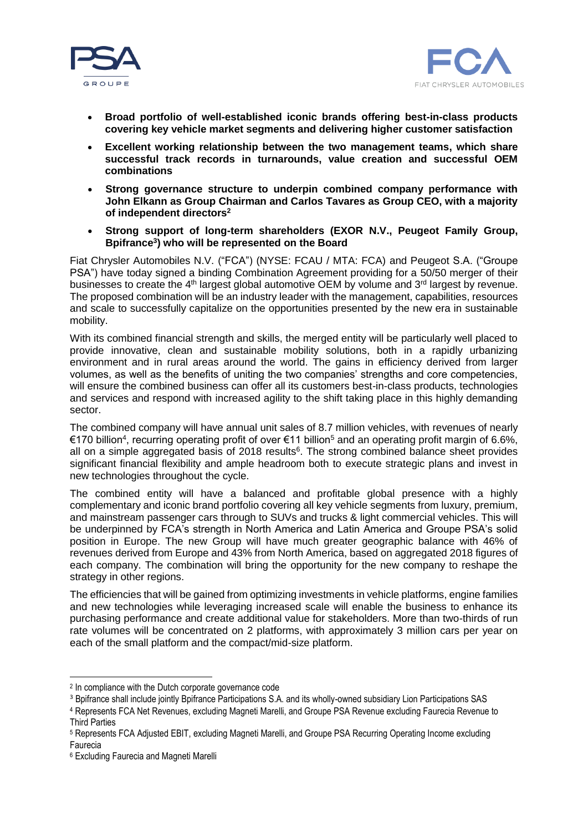



- **Broad portfolio of well-established iconic brands offering best-in-class products covering key vehicle market segments and delivering higher customer satisfaction**
- **Excellent working relationship between the two management teams, which share successful track records in turnarounds, value creation and successful OEM combinations**
- **Strong governance structure to underpin combined company performance with John Elkann as Group Chairman and Carlos Tavares as Group CEO, with a majority of independent directors<sup>2</sup>**
- **Strong support of long-term shareholders (EXOR N.V., Peugeot Family Group, Bpifrance<sup>3</sup> ) who will be represented on the Board**

Fiat Chrysler Automobiles N.V. ("FCA") (NYSE: FCAU / MTA: FCA) and Peugeot S.A. ("Groupe PSA") have today signed a binding Combination Agreement providing for a 50/50 merger of their businesses to create the 4<sup>th</sup> largest global automotive OEM by volume and 3<sup>rd</sup> largest by revenue. The proposed combination will be an industry leader with the management, capabilities, resources and scale to successfully capitalize on the opportunities presented by the new era in sustainable mobility.

With its combined financial strength and skills, the merged entity will be particularly well placed to provide innovative, clean and sustainable mobility solutions, both in a rapidly urbanizing environment and in rural areas around the world. The gains in efficiency derived from larger volumes, as well as the benefits of uniting the two companies' strengths and core competencies, will ensure the combined business can offer all its customers best-in-class products, technologies and services and respond with increased agility to the shift taking place in this highly demanding sector.

The combined company will have annual unit sales of 8.7 million vehicles, with revenues of nearly €170 billion<sup>4</sup>, recurring operating profit of over €11 billion<sup>5</sup> and an operating profit margin of 6.6%, all on a simple aggregated basis of 2018 results<sup>6</sup>. The strong combined balance sheet provides significant financial flexibility and ample headroom both to execute strategic plans and invest in new technologies throughout the cycle.

The combined entity will have a balanced and profitable global presence with a highly complementary and iconic brand portfolio covering all key vehicle segments from luxury, premium, and mainstream passenger cars through to SUVs and trucks & light commercial vehicles. This will be underpinned by FCA's strength in North America and Latin America and Groupe PSA's solid position in Europe. The new Group will have much greater geographic balance with 46% of revenues derived from Europe and 43% from North America, based on aggregated 2018 figures of each company. The combination will bring the opportunity for the new company to reshape the strategy in other regions.

The efficiencies that will be gained from optimizing investments in vehicle platforms, engine families and new technologies while leveraging increased scale will enable the business to enhance its purchasing performance and create additional value for stakeholders. More than two-thirds of run rate volumes will be concentrated on 2 platforms, with approximately 3 million cars per year on each of the small platform and the compact/mid-size platform.

-

<sup>2</sup> In compliance with the Dutch corporate governance code

<sup>&</sup>lt;sup>3</sup> Bpifrance shall include jointly Bpifrance Participations S.A. and its wholly-owned subsidiary Lion Participations SAS

<sup>4</sup> Represents FCA Net Revenues, excluding Magneti Marelli, and Groupe PSA Revenue excluding Faurecia Revenue to Third Parties

<sup>5</sup> Represents FCA Adjusted EBIT, excluding Magneti Marelli, and Groupe PSA Recurring Operating Income excluding Faurecia

<sup>6</sup> Excluding Faurecia and Magneti Marelli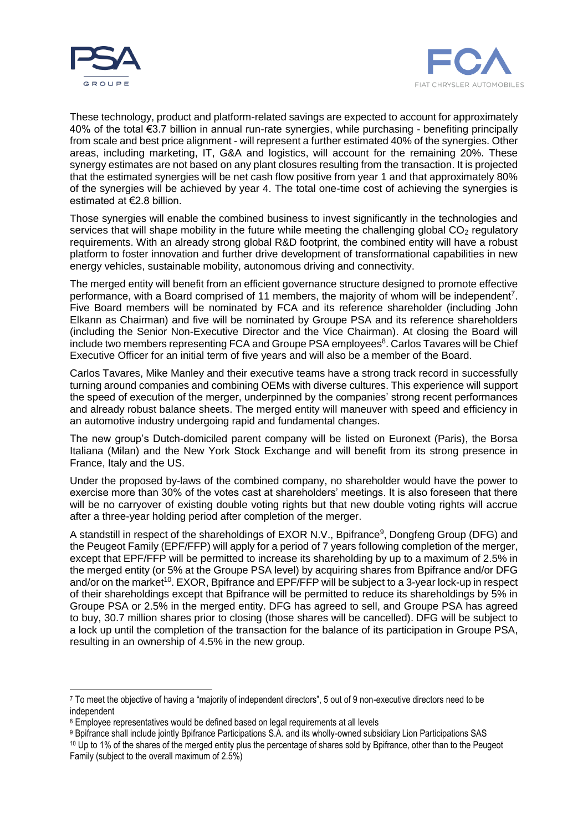

<u>.</u>



These technology, product and platform-related savings are expected to account for approximately 40% of the total €3.7 billion in annual run-rate synergies, while purchasing - benefiting principally from scale and best price alignment - will represent a further estimated 40% of the synergies. Other areas, including marketing, IT, G&A and logistics, will account for the remaining 20%. These synergy estimates are not based on any plant closures resulting from the transaction. It is projected that the estimated synergies will be net cash flow positive from year 1 and that approximately 80% of the synergies will be achieved by year 4. The total one-time cost of achieving the synergies is estimated at €2.8 billion.

Those synergies will enable the combined business to invest significantly in the technologies and services that will shape mobility in the future while meeting the challenging global  $CO<sub>2</sub>$  regulatory requirements. With an already strong global R&D footprint, the combined entity will have a robust platform to foster innovation and further drive development of transformational capabilities in new energy vehicles, sustainable mobility, autonomous driving and connectivity.

The merged entity will benefit from an efficient governance structure designed to promote effective performance, with a Board comprised of 11 members, the majority of whom will be independent<sup>7</sup>. Five Board members will be nominated by FCA and its reference shareholder (including John Elkann as Chairman) and five will be nominated by Groupe PSA and its reference shareholders (including the Senior Non-Executive Director and the Vice Chairman). At closing the Board will include two members representing FCA and Groupe PSA employees<sup>8</sup>. Carlos Tavares will be Chief Executive Officer for an initial term of five years and will also be a member of the Board.

Carlos Tavares, Mike Manley and their executive teams have a strong track record in successfully turning around companies and combining OEMs with diverse cultures. This experience will support the speed of execution of the merger, underpinned by the companies' strong recent performances and already robust balance sheets. The merged entity will maneuver with speed and efficiency in an automotive industry undergoing rapid and fundamental changes.

The new group's Dutch-domiciled parent company will be listed on Euronext (Paris), the Borsa Italiana (Milan) and the New York Stock Exchange and will benefit from its strong presence in France, Italy and the US.

Under the proposed by-laws of the combined company, no shareholder would have the power to exercise more than 30% of the votes cast at shareholders' meetings. It is also foreseen that there will be no carryover of existing double voting rights but that new double voting rights will accrue after a three-year holding period after completion of the merger.

A standstill in respect of the shareholdings of EXOR N.V., Bpifrance<sup>9</sup>, Dongfeng Group (DFG) and the Peugeot Family (EPF/FFP) will apply for a period of 7 years following completion of the merger, except that EPF/FFP will be permitted to increase its shareholding by up to a maximum of 2.5% in the merged entity (or 5% at the Groupe PSA level) by acquiring shares from Bpifrance and/or DFG and/or on the market<sup>10</sup>. EXOR, Bpifrance and EPF/FFP will be subject to a 3-year lock-up in respect of their shareholdings except that Bpifrance will be permitted to reduce its shareholdings by 5% in Groupe PSA or 2.5% in the merged entity. DFG has agreed to sell, and Groupe PSA has agreed to buy, 30.7 million shares prior to closing (those shares will be cancelled). DFG will be subject to a lock up until the completion of the transaction for the balance of its participation in Groupe PSA, resulting in an ownership of 4.5% in the new group.

<sup>7</sup> To meet the objective of having a "majority of independent directors", 5 out of 9 non-executive directors need to be independent

<sup>8</sup> Employee representatives would be defined based on legal requirements at all levels

<sup>9</sup> Bpifrance shall include jointly Bpifrance Participations S.A. and its wholly-owned subsidiary Lion Participations SAS <sup>10</sup> Up to 1% of the shares of the merged entity plus the percentage of shares sold by Bpifrance, other than to the Peugeot Family (subject to the overall maximum of 2.5%)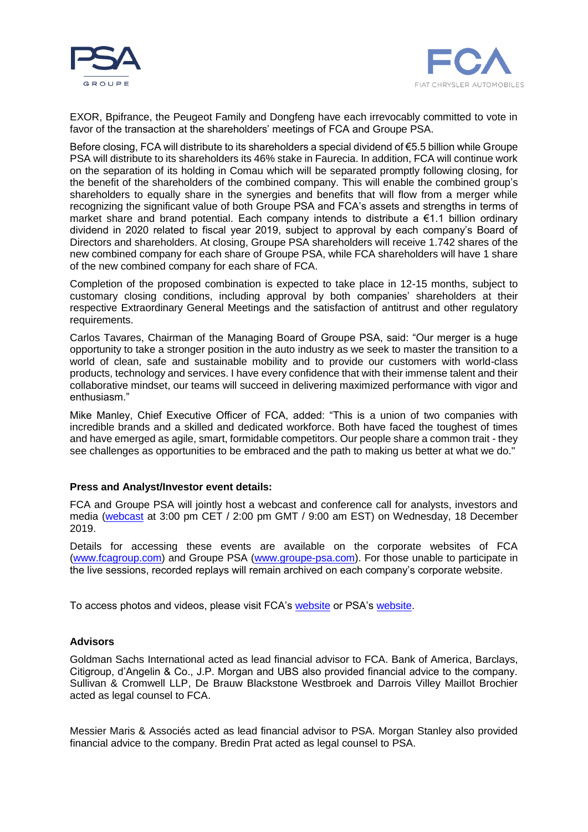



EXOR, Bpifrance, the Peugeot Family and Dongfeng have each irrevocably committed to vote in favor of the transaction at the shareholders' meetings of FCA and Groupe PSA.

Before closing, FCA will distribute to its shareholders a special dividend of €5.5 billion while Groupe PSA will distribute to its shareholders its 46% stake in Faurecia. In addition, FCA will continue work on the separation of its holding in Comau which will be separated promptly following closing, for the benefit of the shareholders of the combined company. This will enable the combined group's shareholders to equally share in the synergies and benefits that will flow from a merger while recognizing the significant value of both Groupe PSA and FCA's assets and strengths in terms of market share and brand potential. Each company intends to distribute a €1.1 billion ordinary dividend in 2020 related to fiscal year 2019, subject to approval by each company's Board of Directors and shareholders. At closing, Groupe PSA shareholders will receive 1.742 shares of the new combined company for each share of Groupe PSA, while FCA shareholders will have 1 share of the new combined company for each share of FCA.

Completion of the proposed combination is expected to take place in 12-15 months, subject to customary closing conditions, including approval by both companies' shareholders at their respective Extraordinary General Meetings and the satisfaction of antitrust and other regulatory requirements.

Carlos Tavares, Chairman of the Managing Board of Groupe PSA, said: "Our merger is a huge opportunity to take a stronger position in the auto industry as we seek to master the transition to a world of clean, safe and sustainable mobility and to provide our customers with world-class products, technology and services. I have every confidence that with their immense talent and their collaborative mindset, our teams will succeed in delivering maximized performance with vigor and enthusiasm."

Mike Manley, Chief Executive Officer of FCA, added: "This is a union of two companies with incredible brands and a skilled and dedicated workforce. Both have faced the toughest of times and have emerged as agile, smart, formidable competitors. Our people share a common trait - they see challenges as opportunities to be embraced and the path to making us better at what we do."

## **Press and Analyst/Investor event details:**

FCA and Groupe PSA will jointly host a webcast and conference call for analysts, investors and media [\(webcast](https://nam02.safelinks.protection.outlook.com/?url=https%3A%2F%2Fedge.media-server.com%2Fmmc%2Fp%2Fcam9ebx7&data=02%7C01%7CDAl-Qattan%40SARDVERB.com%7C32b3eca6dde34e43120c08d7831e82a2%7Cdfc7827b9c274ffbb94f96d3b0b06aa1%7C0%7C0%7C637122039406812039&sdata=B3xZ6ldTUSglfqdAO4R6zJ%2F6pGTb6vX3vYF2rh1iB9I%3D&reserved=0) at 3:00 pm CET / 2:00 pm GMT / 9:00 am EST) on Wednesday, 18 December 2019.

Details for accessing these events are available on the corporate websites of FCA [\(www.fcagroup.com\)](http://www.fcagroup.com/) and Groupe PSA [\(www.groupe-psa.com\)](https://www.groupe-psa.com/en/). For those unable to participate in the live sessions, recorded replays will remain archived on each company's corporate website.

To access photos and videos, please visit FCA's [website](https://www.fcagroup.com/en-US/media_center/fca_press_release/Pages/home.aspx) or PSA's [website.](https://medialibrary.groupe-psa.com/corporate/identification?token=bdPmMC1Dz)

## **Advisors**

Goldman Sachs International acted as lead financial advisor to FCA. Bank of America, Barclays, Citigroup, d'Angelin & Co., J.P. Morgan and UBS also provided financial advice to the company. Sullivan & Cromwell LLP, De Brauw Blackstone Westbroek and Darrois Villey Maillot Brochier acted as legal counsel to FCA.

Messier Maris & Associés acted as lead financial advisor to PSA. Morgan Stanley also provided financial advice to the company. Bredin Prat acted as legal counsel to PSA.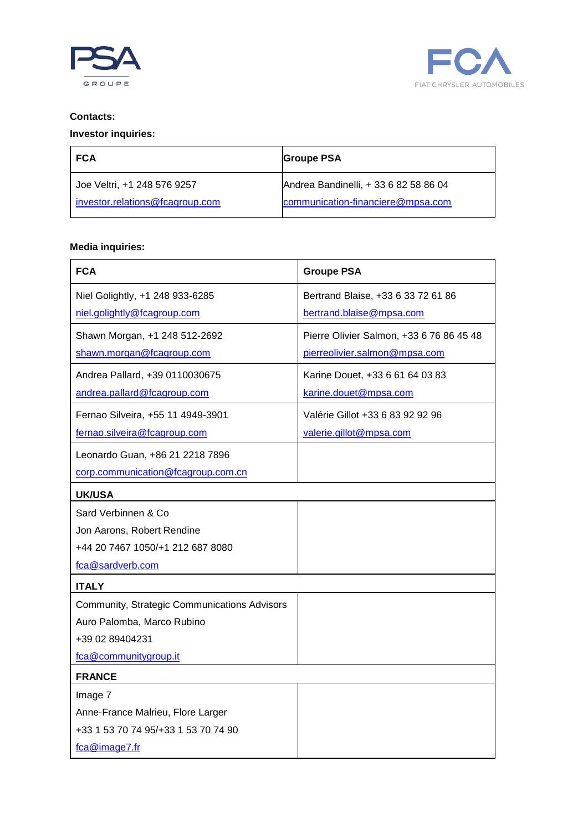



## **Contacts:**

# **Investor inquiries:**

| <b>FCA</b>                      | <b>Groupe PSA</b>                     |
|---------------------------------|---------------------------------------|
| Joe Veltri, +1 248 576 9257     | Andrea Bandinelli, + 33 6 82 58 86 04 |
| investor.relations@fcagroup.com | communication-financiere@mpsa.com     |

# **Media inquiries:**

| <b>FCA</b>                                   | <b>Groupe PSA</b>                        |
|----------------------------------------------|------------------------------------------|
| Niel Golightly, +1 248 933-6285              | Bertrand Blaise, +33 6 33 72 61 86       |
| niel.golightly@fcagroup.com                  | bertrand.blaise@mpsa.com                 |
| Shawn Morgan, +1 248 512-2692                | Pierre Olivier Salmon, +33 6 76 86 45 48 |
| shawn.morgan@fcagroup.com                    | pierreolivier.salmon@mpsa.com            |
| Andrea Pallard, +39 0110030675               | Karine Douet, +33 6 61 64 03 83          |
| andrea.pallard@fcagroup.com                  | karine.douet@mpsa.com                    |
| Fernao Silveira, +55 11 4949-3901            | Valérie Gillot +33 6 83 92 92 96         |
| fernao.silveira@fcagroup.com                 | valerie.gillot@mpsa.com                  |
| Leonardo Guan, +86 21 2218 7896              |                                          |
| corp.communication@fcagroup.com.cn           |                                          |
| <b>UK/USA</b>                                |                                          |
| Sard Verbinnen & Co                          |                                          |
| Jon Aarons, Robert Rendine                   |                                          |
| +44 20 7467 1050/+1 212 687 8080             |                                          |
| fca@sardverb.com                             |                                          |
| <b>ITALY</b>                                 |                                          |
| Community, Strategic Communications Advisors |                                          |
| Auro Palomba, Marco Rubino                   |                                          |
| +39 02 89404231                              |                                          |
| fca@communitygroup.it                        |                                          |
| <b>FRANCE</b>                                |                                          |
| Image 7                                      |                                          |
| Anne-France Malrieu, Flore Larger            |                                          |
| +33 1 53 70 74 95/+33 1 53 70 74 90          |                                          |
| fca@image7.fr                                |                                          |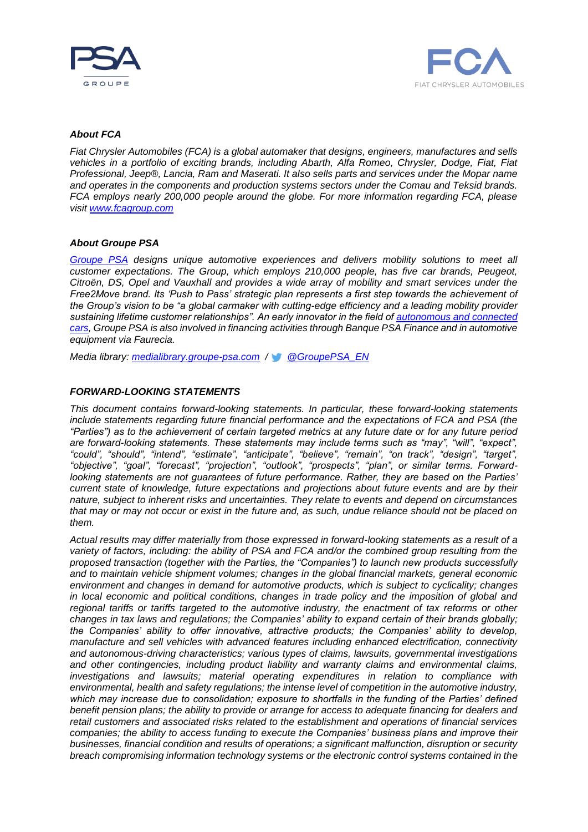



#### *About FCA*

*Fiat Chrysler Automobiles (FCA) is a global automaker that designs, engineers, manufactures and sells vehicles in a portfolio of exciting brands, including Abarth, Alfa Romeo, Chrysler, Dodge, Fiat, Fiat Professional, Jeep®, Lancia, Ram and Maserati. It also sells parts and services under the Mopar name and operates in the components and production systems sectors under the Comau and Teksid brands. FCA employs nearly 200,000 people around the globe. For more information regarding FCA, please visit [www.fcagroup.com](https://www.fcagroup.com/en-US/Pages/home.aspx)*

#### *About Groupe PSA*

*[Groupe PSA](http://www.groupe-psa.com/) designs unique automotive experiences and delivers mobility solutions to meet all customer expectations. The Group, which employs 210,000 people, has five car brands, Peugeot, Citroën, DS, Opel and Vauxhall and provides a wide array of mobility and smart services under the Free2Move brand. Its 'Push to Pass' strategic plan represents a first step towards the achievement of the Group's vision to be "a global carmaker with cutting-edge efficiency and a leading mobility provider sustaining lifetime customer relationships". An early innovator in the field of [autonomous and connected](https://www.groupe-psa.com/en/story/en-route-vers-la-voiture-autonome/)  [cars,](https://www.groupe-psa.com/en/story/en-route-vers-la-voiture-autonome/) Groupe PSA is also involved in financing activities through Banque PSA Finance and in automotive equipment via Faurecia.*

*Media library: [medialibrary.groupe-psa.com](http://medialibrary.groupe-psa.com/) / [@GroupePSA\\_EN](https://twitter.com/GroupePSA_EN)*

## *FORWARD-LOOKING STATEMENTS*

*This document contains forward-looking statements. In particular, these forward-looking statements include statements regarding future financial performance and the expectations of FCA and PSA (the "Parties") as to the achievement of certain targeted metrics at any future date or for any future period are forward-looking statements. These statements may include terms such as "may", "will", "expect", "could", "should", "intend", "estimate", "anticipate", "believe", "remain", "on track", "design", "target", "objective", "goal", "forecast", "projection", "outlook", "prospects", "plan", or similar terms. Forwardlooking statements are not guarantees of future performance. Rather, they are based on the Parties' current state of knowledge, future expectations and projections about future events and are by their nature, subject to inherent risks and uncertainties. They relate to events and depend on circumstances that may or may not occur or exist in the future and, as such, undue reliance should not be placed on them.* 

*Actual results may differ materially from those expressed in forward-looking statements as a result of a variety of factors, including: the ability of PSA and FCA and/or the combined group resulting from the proposed transaction (together with the Parties, the "Companies") to launch new products successfully and to maintain vehicle shipment volumes; changes in the global financial markets, general economic environment and changes in demand for automotive products, which is subject to cyclicality; changes in local economic and political conditions, changes in trade policy and the imposition of global and regional tariffs or tariffs targeted to the automotive industry, the enactment of tax reforms or other changes in tax laws and regulations; the Companies' ability to expand certain of their brands globally; the Companies' ability to offer innovative, attractive products; the Companies' ability to develop, manufacture and sell vehicles with advanced features including enhanced electrification, connectivity and autonomous-driving characteristics; various types of claims, lawsuits, governmental investigations and other contingencies, including product liability and warranty claims and environmental claims, investigations and lawsuits; material operating expenditures in relation to compliance with environmental, health and safety regulations; the intense level of competition in the automotive industry, which may increase due to consolidation; exposure to shortfalls in the funding of the Parties' defined benefit pension plans; the ability to provide or arrange for access to adequate financing for dealers and retail customers and associated risks related to the establishment and operations of financial services companies; the ability to access funding to execute the Companies' business plans and improve their businesses, financial condition and results of operations; a significant malfunction, disruption or security breach compromising information technology systems or the electronic control systems contained in the*